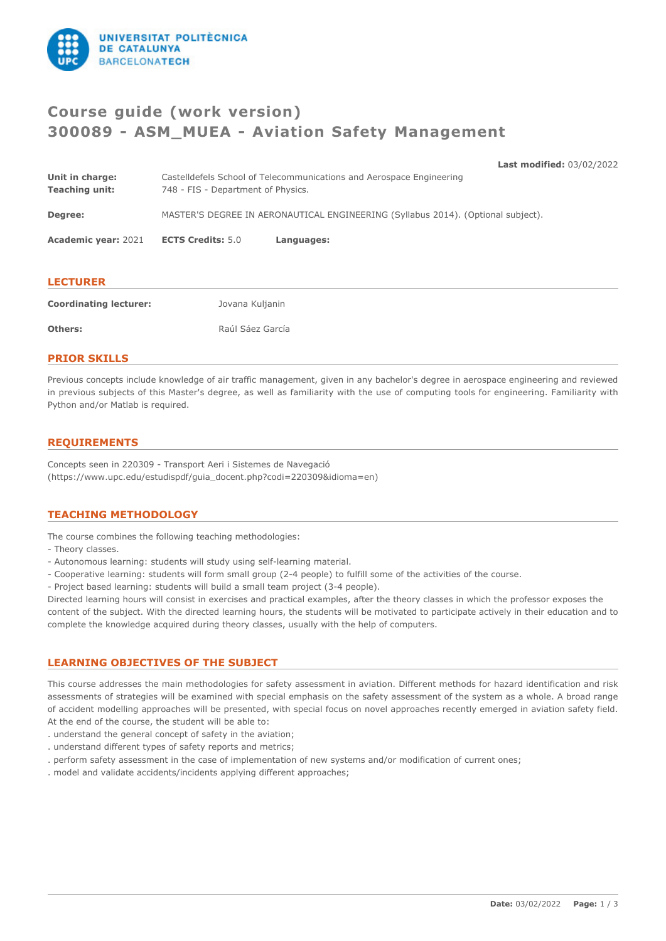

# **Course guide (work version) 300089 - ASM\_MUEA - Aviation Safety Management**

**Last modified:** 03/02/2022 **Unit in charge:** Castelldefels School of Telecommunications and Aerospace Engineering **Teaching unit:** 748 - FIS - Department of Physics. **Degree:** MASTER'S DEGREE IN AERONAUTICAL ENGINEERING (Syllabus 2014). (Optional subject). **Academic year:** 2021 **ECTS Credits:** 5.0 **Languages: LECTURER Coordinating lecturer:** Jovana Kuljanin **Others:** Raúl Sáez García

## **PRIOR SKILLS**

Previous concepts include knowledge of air traffic management, given in any bachelor's degree in aerospace engineering and reviewed in previous subjects of this Master's degree, as well as familiarity with the use of computing tools for engineering. Familiarity with Python and/or Matlab is required.

# **REQUIREMENTS**

Concepts seen in 220309 - Transport Aeri i Sistemes de Navegació (https://www.upc.edu/estudispdf/guia\_docent.php?codi=220309&idioma=en)

# **TEACHING METHODOLOGY**

The course combines the following teaching methodologies:

- Theory classes.
- Autonomous learning: students will study using self-learning material.
- Cooperative learning: students will form small group (2-4 people) to fulfill some of the activities of the course.
- Project based learning: students will build a small team project (3-4 people).

Directed learning hours will consist in exercises and practical examples, after the theory classes in which the professor exposes the content of the subject. With the directed learning hours, the students will be motivated to participate actively in their education and to complete the knowledge acquired during theory classes, usually with the help of computers.

## **LEARNING OBJECTIVES OF THE SUBJECT**

This course addresses the main methodologies for safety assessment in aviation. Different methods for hazard identification and risk assessments of strategies will be examined with special emphasis on the safety assessment of the system as a whole. A broad range of accident modelling approaches will be presented, with special focus on novel approaches recently emerged in aviation safety field. At the end of the course, the student will be able to:

- . understand the general concept of safety in the aviation;
- . understand different types of safety reports and metrics;
- . perform safety assessment in the case of implementation of new systems and/or modification of current ones;
- . model and validate accidents/incidents applying different approaches;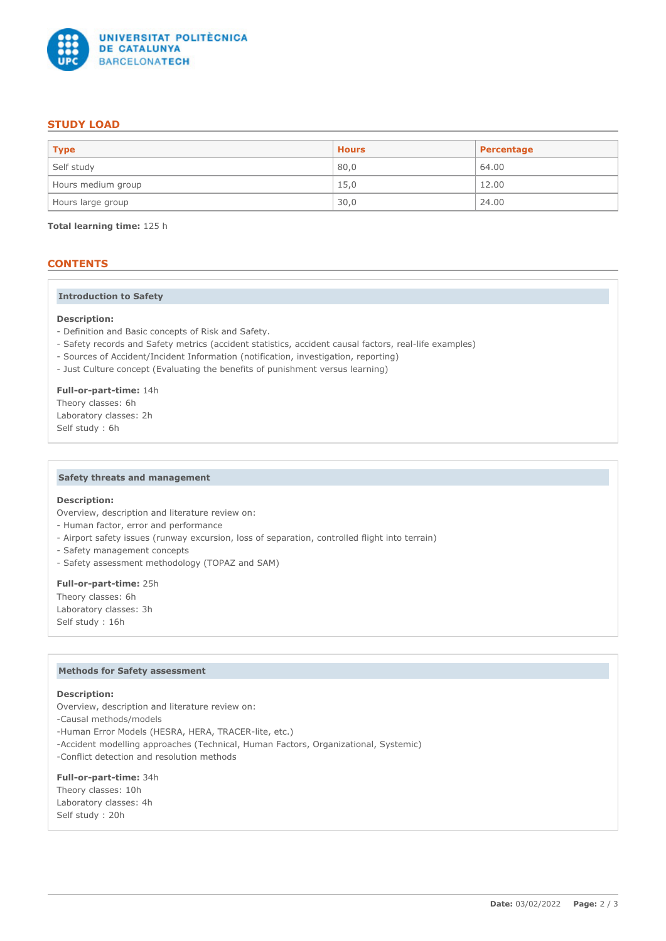

# **STUDY LOAD**

| <b>Type</b>        | <b>Hours</b> | Percentage |
|--------------------|--------------|------------|
| Self study         | 80,0         | 64.00      |
| Hours medium group | 15,0         | 12.00      |
| Hours large group  | 30,0         | 24.00      |

**Total learning time:** 125 h

# **CONTENTS**

#### **Introduction to Safety**

#### **Description:**

- Definition and Basic concepts of Risk and Safety.
- Safety records and Safety metrics (accident statistics, accident causal factors, real-life examples)
- Sources of Accident/Incident Information (notification, investigation, reporting)
- Just Culture concept (Evaluating the benefits of punishment versus learning)

**Full-or-part-time:** 14h Theory classes: 6h Laboratory classes: 2h Self study : 6h

### **Safety threats and management**

#### **Description:**

Overview, description and literature review on:

- Human factor, error and performance
- Airport safety issues (runway excursion, loss of separation, controlled flight into terrain)
- Safety management concepts
- Safety assessment methodology (TOPAZ and SAM)

# **Full-or-part-time:** 25h

Theory classes: 6h Laboratory classes: 3h Self study : 16h

#### **Methods for Safety assessment**

#### **Description:**

Overview, description and literature review on:

- -Causal methods/models
- -Human Error Models (HESRA, HERA, TRACER-lite, etc.)
- -Accident modelling approaches (Technical, Human Factors, Organizational, Systemic)
- -Conflict detection and resolution methods

### **Full-or-part-time:** 34h

Theory classes: 10h Laboratory classes: 4h Self study : 20h